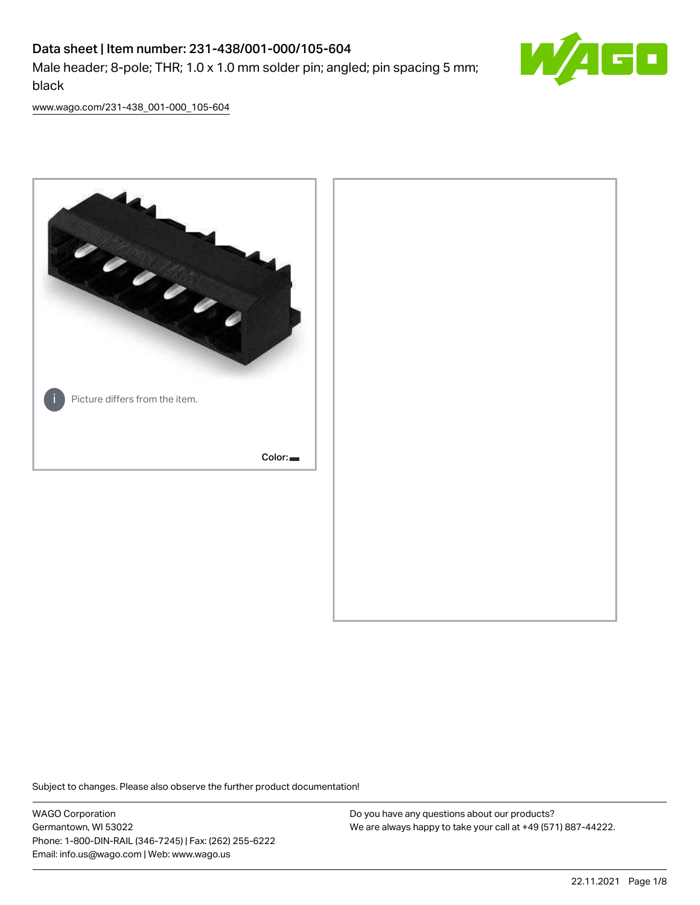# Data sheet | Item number: 231-438/001-000/105-604 Male header; 8-pole; THR; 1.0 x 1.0 mm solder pin; angled; pin spacing 5 mm; black



[www.wago.com/231-438\\_001-000\\_105-604](http://www.wago.com/231-438_001-000_105-604)



Subject to changes. Please also observe the further product documentation!

WAGO Corporation Germantown, WI 53022 Phone: 1-800-DIN-RAIL (346-7245) | Fax: (262) 255-6222 Email: info.us@wago.com | Web: www.wago.us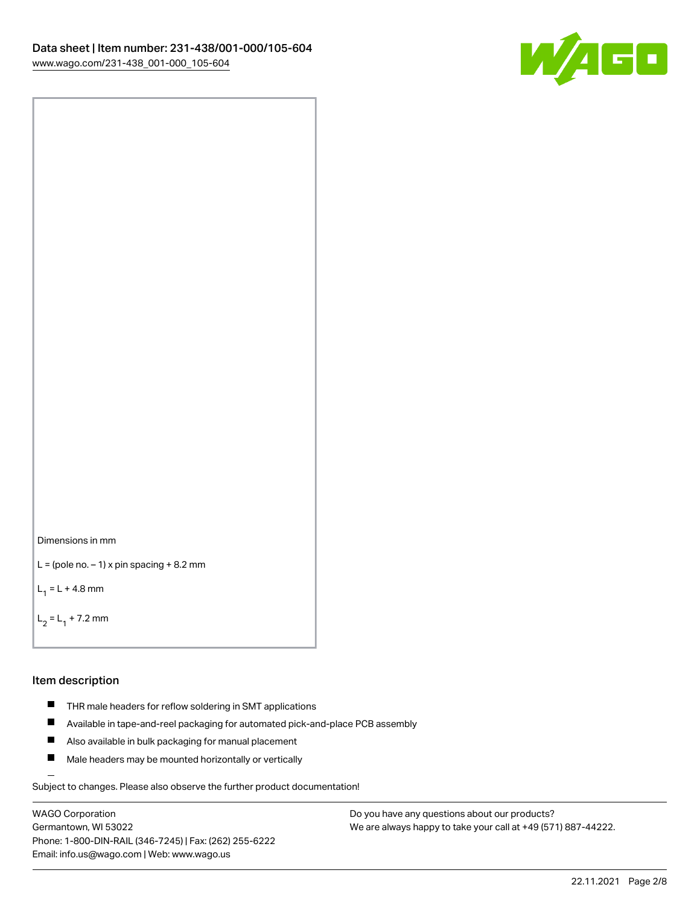

```
Dimensions in mm
```

```
L = (pole no. -1) x pin spacing +8.2 mm
```
 $L_1 = L + 4.8$  mm

```
L_2 = L_1 + 7.2 mm
```
## Item description

- **THR** male headers for reflow soldering in SMT applications
- $\blacksquare$ Available in tape-and-reel packaging for automated pick-and-place PCB assembly
- $\blacksquare$ Also available in bulk packaging for manual placement
- $\blacksquare$ Male headers may be mounted horizontally or vertically

Subject to changes. Please also observe the further product documentation!

WAGO Corporation Germantown, WI 53022 Phone: 1-800-DIN-RAIL (346-7245) | Fax: (262) 255-6222 Email: info.us@wago.com | Web: www.wago.us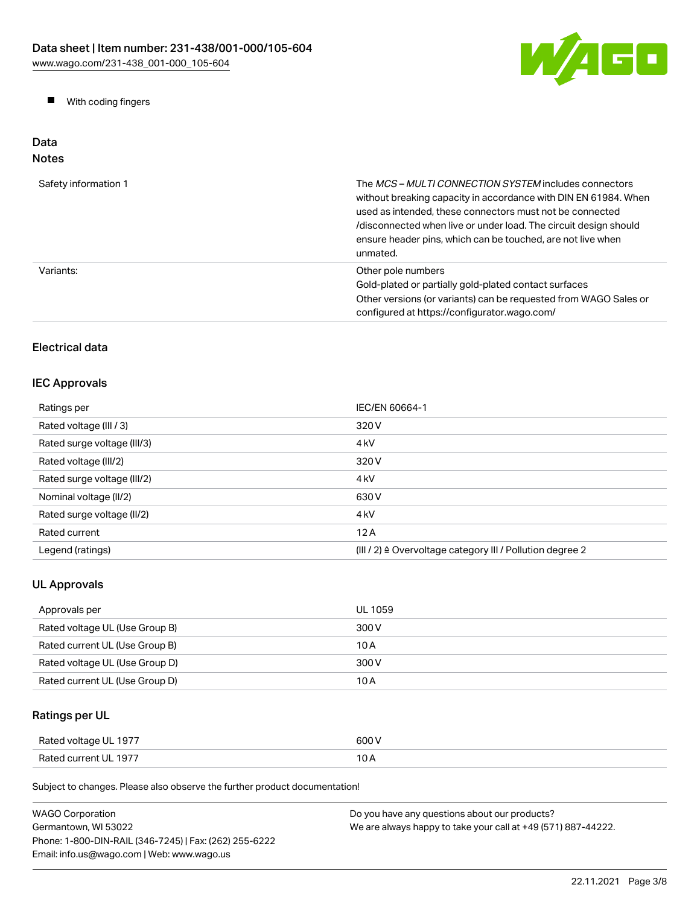

**Now With coding fingers** 

## Data Notes

| Safety information 1 | The <i>MCS - MULTI CONNECTION SYSTEM</i> includes connectors<br>without breaking capacity in accordance with DIN EN 61984. When<br>used as intended, these connectors must not be connected<br>/disconnected when live or under load. The circuit design should<br>ensure header pins, which can be touched, are not live when<br>unmated. |
|----------------------|--------------------------------------------------------------------------------------------------------------------------------------------------------------------------------------------------------------------------------------------------------------------------------------------------------------------------------------------|
| Variants:            | Other pole numbers<br>Gold-plated or partially gold-plated contact surfaces<br>Other versions (or variants) can be requested from WAGO Sales or<br>configured at https://configurator.wago.com/                                                                                                                                            |

## Electrical data

## IEC Approvals

| Ratings per                 | IEC/EN 60664-1                                            |
|-----------------------------|-----------------------------------------------------------|
| Rated voltage (III / 3)     | 320 V                                                     |
| Rated surge voltage (III/3) | 4 <sub>kV</sub>                                           |
| Rated voltage (III/2)       | 320 V                                                     |
| Rated surge voltage (III/2) | 4 <sub>kV</sub>                                           |
| Nominal voltage (II/2)      | 630 V                                                     |
| Rated surge voltage (II/2)  | 4 <sub>k</sub> V                                          |
| Rated current               | 12A                                                       |
| Legend (ratings)            | (III / 2) ≙ Overvoltage category III / Pollution degree 2 |

## UL Approvals

| Approvals per                  | UL 1059 |
|--------------------------------|---------|
| Rated voltage UL (Use Group B) | 300 V   |
| Rated current UL (Use Group B) | 10 A    |
| Rated voltage UL (Use Group D) | 300 V   |
| Rated current UL (Use Group D) | 10 A    |

## Ratings per UL

| Rated voltage UL 1977 | 600 V |
|-----------------------|-------|
| Rated current UL 1977 | 10 A  |

Subject to changes. Please also observe the further product documentation!

| <b>WAGO Corporation</b>                                | Do you have any questions about our products?                 |
|--------------------------------------------------------|---------------------------------------------------------------|
| Germantown, WI 53022                                   | We are always happy to take your call at +49 (571) 887-44222. |
| Phone: 1-800-DIN-RAIL (346-7245)   Fax: (262) 255-6222 |                                                               |
| Email: info.us@wago.com   Web: www.wago.us             |                                                               |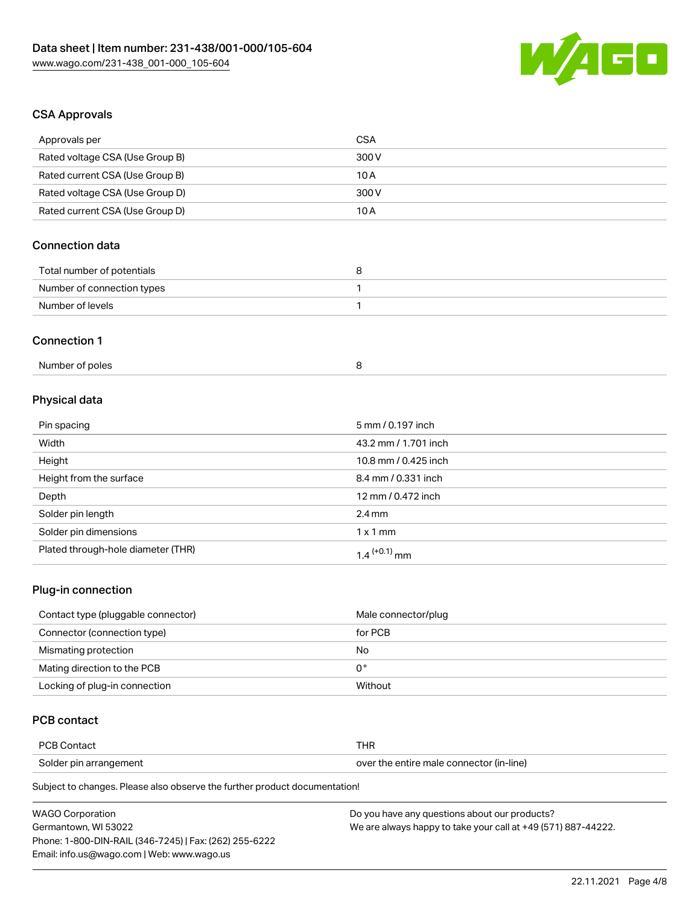

# CSA Approvals

| Approvals per                      | <b>CSA</b>           |
|------------------------------------|----------------------|
| Rated voltage CSA (Use Group B)    | 300V                 |
| Rated current CSA (Use Group B)    | 10A                  |
| Rated voltage CSA (Use Group D)    | 300V                 |
| Rated current CSA (Use Group D)    | 10A                  |
| <b>Connection data</b>             |                      |
| Total number of potentials         | 8                    |
| Number of connection types         | 1                    |
| Number of levels                   | $\mathbf{1}$         |
| <b>Connection 1</b>                |                      |
| Number of poles                    | 8                    |
| Physical data                      |                      |
| Pin spacing                        | 5 mm / 0.197 inch    |
| Width                              | 43.2 mm / 1.701 inch |
| Height                             | 10.8 mm / 0.425 inch |
| Height from the surface            | 8.4 mm / 0.331 inch  |
| Depth                              | 12 mm / 0.472 inch   |
| Solder pin length                  | $2.4 \, \text{mm}$   |
| Solder pin dimensions              | $1 \times 1$ mm      |
| Plated through-hole diameter (THR) | $1.4$ $(+0.1)$ mm    |
| Plug-in connection                 |                      |

| Contact type (pluggable connector) | Male connector/plug |
|------------------------------------|---------------------|
| Connector (connection type)        | for PCB             |
| Mismating protection               | No                  |
| Mating direction to the PCB        | 0°                  |
| Locking of plug-in connection      | Without             |

## PCB contact

| PCB Contact            | THR                                      |
|------------------------|------------------------------------------|
| Solder pin arrangement | over the entire male connector (in-line) |

Subject to changes. Please also observe the further product documentation!

| <b>WAGO Corporation</b>                                | Do you have any questions about our products?                 |
|--------------------------------------------------------|---------------------------------------------------------------|
| Germantown. WI 53022                                   | We are always happy to take your call at +49 (571) 887-44222. |
| Phone: 1-800-DIN-RAIL (346-7245)   Fax: (262) 255-6222 |                                                               |
| Email: info.us@wago.com   Web: www.wago.us             |                                                               |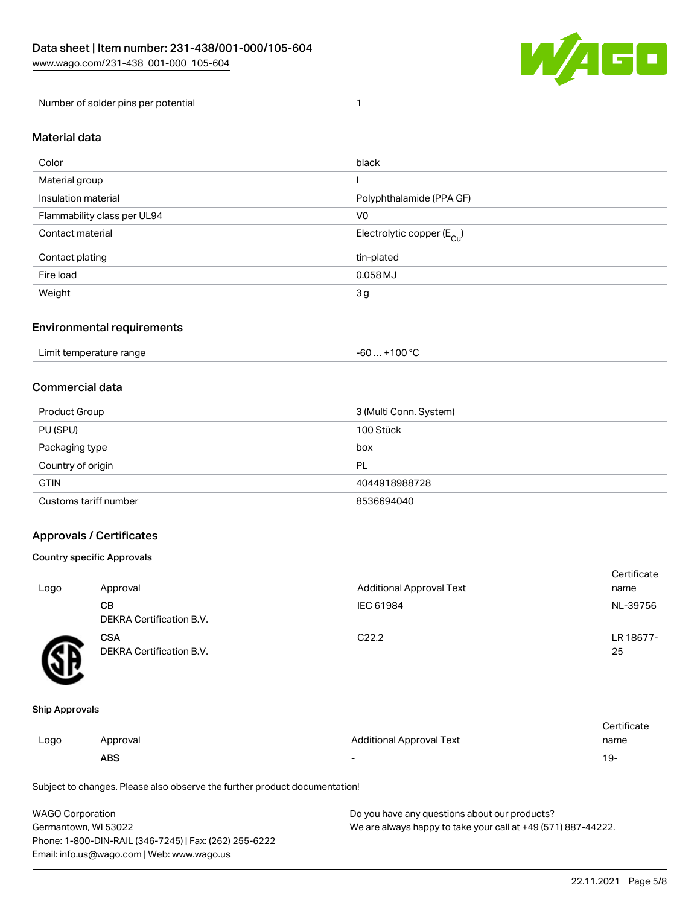

Number of solder pins per potential 1

## Material data

| Color                       | black                                   |
|-----------------------------|-----------------------------------------|
| Material group              |                                         |
| Insulation material         | Polyphthalamide (PPA GF)                |
| Flammability class per UL94 | V <sub>0</sub>                          |
| Contact material            | Electrolytic copper ( $E_{\text{Cu}}$ ) |
| Contact plating             | tin-plated                              |
| Fire load                   | $0.058$ MJ                              |
| Weight                      | 3 <sub>g</sub>                          |

## Environmental requirements

Limit temperature range  $-60... +100 °C$ 

## Commercial data

| Product Group         | 3 (Multi Conn. System) |
|-----------------------|------------------------|
| PU (SPU)              | 100 Stück              |
| Packaging type        | box                    |
| Country of origin     | PL                     |
| <b>GTIN</b>           | 4044918988728          |
| Customs tariff number | 8536694040             |

## Approvals / Certificates

#### Country specific Approvals

| Logo | Approval                               | <b>Additional Approval Text</b> | Certificate<br>name |
|------|----------------------------------------|---------------------------------|---------------------|
|      | CВ<br>DEKRA Certification B.V.         | IEC 61984                       | NL-39756            |
|      | <b>CSA</b><br>DEKRA Certification B.V. | C <sub>22.2</sub>               | LR 18677-<br>25     |

### Ship Approvals

|      | <b>ABS</b> |                          | ∙ש ו          |
|------|------------|--------------------------|---------------|
| Logo | Approval   | Additional Approval Text | name          |
|      |            |                          | ∵ertificare i |

Subject to changes. Please also observe the further product documentation!

| <b>WAGO Corporation</b>                                | Do you have any questions about our products?                 |  |  |  |
|--------------------------------------------------------|---------------------------------------------------------------|--|--|--|
| Germantown, WI 53022                                   | We are always happy to take your call at +49 (571) 887-44222. |  |  |  |
| Phone: 1-800-DIN-RAIL (346-7245)   Fax: (262) 255-6222 |                                                               |  |  |  |
| Email: info.us@wago.com   Web: www.wago.us             |                                                               |  |  |  |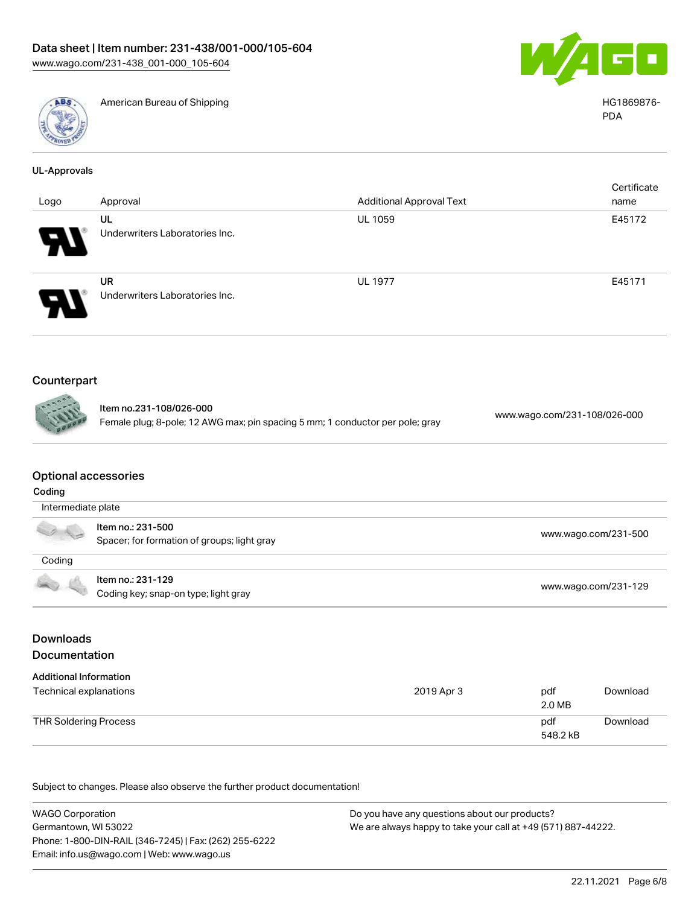



American Bureau of Shipping National American Bureau of Shipping HG1869876-

| UL-Approvals |  |  |
|--------------|--|--|
|              |  |  |

|                            |                                      |                                 | Certificate |
|----------------------------|--------------------------------------|---------------------------------|-------------|
| Logo                       | Approval                             | <b>Additional Approval Text</b> | name        |
|                            | UL<br>Underwriters Laboratories Inc. | UL 1059                         | E45172      |
| $\boldsymbol{H}$           |                                      |                                 |             |
|                            | <b>UR</b>                            | <b>UL 1977</b>                  | E45171      |
| $\boldsymbol{\mathcal{P}}$ | Underwriters Laboratories Inc.       |                                 |             |

## Counterpart

| Item no.23 |
|------------|
| Female plu |
|            |

81-108/026-000 Female plug; 8-pole; 12 AWG max; pin spacing 5 mm; 1 conductor per pole; gray [www.wago.com/231-108/026-000](https://www.wago.com/231-108/026-000)

## Optional accessories

| Coding             |                                                                  |                      |  |
|--------------------|------------------------------------------------------------------|----------------------|--|
| Intermediate plate |                                                                  |                      |  |
|                    | Item no.: 231-500<br>Spacer; for formation of groups; light gray | www.wago.com/231-500 |  |
| Coding             |                                                                  |                      |  |
| <b>COLLEGE</b>     | Item no.: 231-129<br>Coding key; snap-on type; light gray        | www.wago.com/231-129 |  |

## Downloads Documentation

| <b>Additional Information</b><br>Technical explanations | 2019 Apr 3 | pdf<br>2.0 MB   | Download |
|---------------------------------------------------------|------------|-----------------|----------|
| THR Soldering Process                                   |            | pdf<br>548.2 kB | Download |

Subject to changes. Please also observe the further product documentation!

WAGO Corporation Germantown, WI 53022 Phone: 1-800-DIN-RAIL (346-7245) | Fax: (262) 255-6222 Email: info.us@wago.com | Web: www.wago.us Do you have any questions about our products? We are always happy to take your call at +49 (571) 887-44222.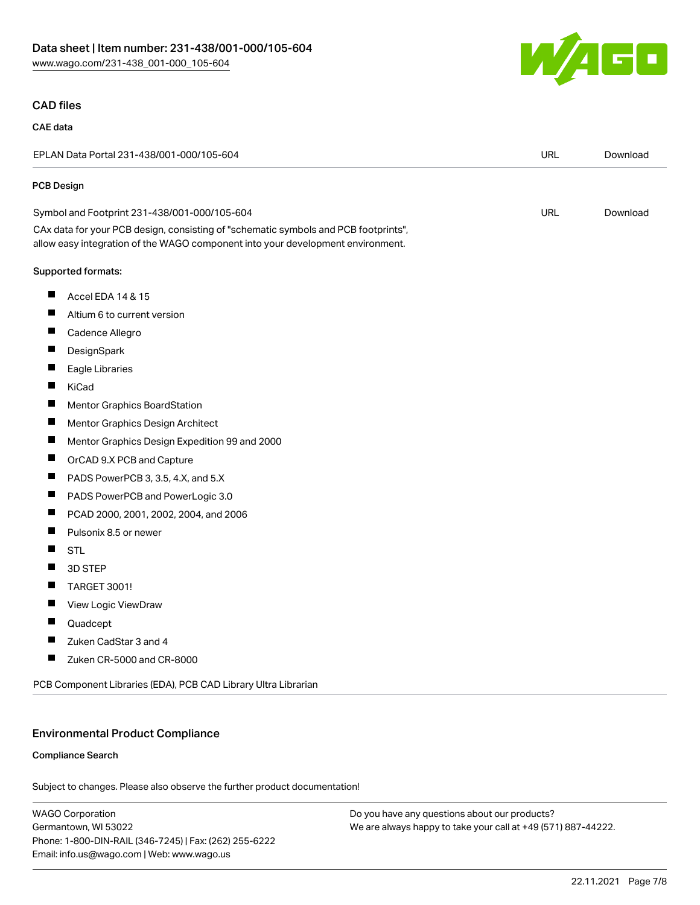

## CAD files

#### CAE data

|                                              | EPLAN Data Portal 231-438/001-000/105-604                                                                                                                              | <b>URL</b> | Download |
|----------------------------------------------|------------------------------------------------------------------------------------------------------------------------------------------------------------------------|------------|----------|
| PCB Design                                   |                                                                                                                                                                        |            |          |
| Symbol and Footprint 231-438/001-000/105-604 |                                                                                                                                                                        | <b>URL</b> | Download |
|                                              | CAx data for your PCB design, consisting of "schematic symbols and PCB footprints",<br>allow easy integration of the WAGO component into your development environment. |            |          |
|                                              | Supported formats:                                                                                                                                                     |            |          |
| ш                                            | Accel EDA 14 & 15                                                                                                                                                      |            |          |
| ш                                            | Altium 6 to current version                                                                                                                                            |            |          |
| ш                                            | Cadence Allegro                                                                                                                                                        |            |          |
| ш                                            | DesignSpark                                                                                                                                                            |            |          |
| ш                                            | Eagle Libraries                                                                                                                                                        |            |          |
| ш                                            | KiCad                                                                                                                                                                  |            |          |
| ш                                            | Mentor Graphics BoardStation                                                                                                                                           |            |          |
| ш                                            | Mentor Graphics Design Architect                                                                                                                                       |            |          |
| ш                                            | Mentor Graphics Design Expedition 99 and 2000                                                                                                                          |            |          |
| ш                                            | OrCAD 9.X PCB and Capture                                                                                                                                              |            |          |
| ш                                            | PADS PowerPCB 3, 3.5, 4.X, and 5.X                                                                                                                                     |            |          |
| ш                                            | PADS PowerPCB and PowerLogic 3.0                                                                                                                                       |            |          |
| ш                                            | PCAD 2000, 2001, 2002, 2004, and 2006                                                                                                                                  |            |          |
| ш                                            | Pulsonix 8.5 or newer                                                                                                                                                  |            |          |
| Ш                                            | <b>STL</b>                                                                                                                                                             |            |          |
| ш                                            | 3D STEP                                                                                                                                                                |            |          |
| Ш                                            | <b>TARGET 3001!</b>                                                                                                                                                    |            |          |
| ш                                            | View Logic ViewDraw                                                                                                                                                    |            |          |
|                                              | Quadcept                                                                                                                                                               |            |          |
| ш                                            | Zuken CadStar 3 and 4                                                                                                                                                  |            |          |
| ш                                            | Zuken CR-5000 and CR-8000                                                                                                                                              |            |          |
|                                              | PCB Component Libraries (EDA), PCB CAD Library Ultra Librarian                                                                                                         |            |          |

## Environmental Product Compliance

## Compliance Search

Subject to changes. Please also observe the further product documentation!

WAGO Corporation Germantown, WI 53022 Phone: 1-800-DIN-RAIL (346-7245) | Fax: (262) 255-6222 Email: info.us@wago.com | Web: www.wago.us